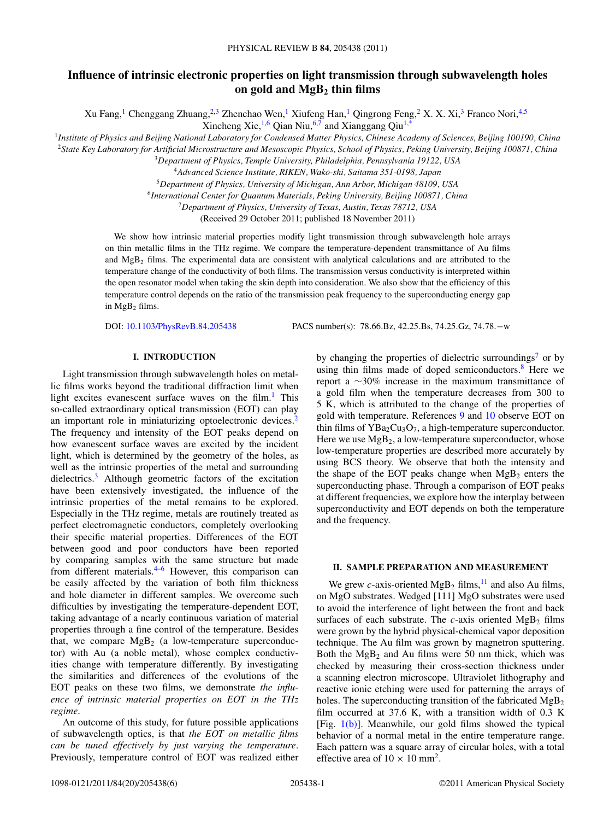# **Influence of intrinsic electronic properties on light transmission through subwavelength holes on gold and MgB2 thin films**

Xu Fang,<sup>1</sup> Chenggang Zhuang,<sup>2,3</sup> Zhenchao Wen,<sup>1</sup> Xiufeng Han,<sup>1</sup> Qingrong Feng,<sup>2</sup> X. X. Xi,<sup>3</sup> Franco Nori,<sup>4,5</sup>

Xincheng Xie,<sup>1,6</sup> Qian Niu,<sup>6,7</sup> and Xianggang Qiu<sup>1,3</sup>

<sup>1</sup>*Institute of Physics and Beijing National Laboratory for Condensed Matter Physics, Chinese Academy of Sciences, Beijing 100190, China*

<sup>2</sup>*State Key Laboratory for Artificial Microstructure and Mesoscopic Physics, School of Physics, Peking University, Beijing 100871, China*

<sup>3</sup>*Department of Physics, Temple University, Philadelphia, Pennsylvania 19122, USA*

<sup>4</sup>*Advanced Science Institute, RIKEN, Wako-shi, Saitama 351-0198, Japan*

<sup>5</sup>*Department of Physics, University of Michigan, Ann Arbor, Michigan 48109, USA* <sup>6</sup>*International Center for Quantum Materials, Peking University, Beijing 100871, China*

<sup>7</sup>*Department of Physics, University of Texas, Austin, Texas 78712, USA*

(Received 29 October 2011; published 18 November 2011)

We show how intrinsic material properties modify light transmission through subwavelength hole arrays on thin metallic films in the THz regime. We compare the temperature-dependent transmittance of Au films and  $MgB<sub>2</sub>$  films. The experimental data are consistent with analytical calculations and are attributed to the temperature change of the conductivity of both films. The transmission versus conductivity is interpreted within the open resonator model when taking the skin depth into consideration. We also show that the efficiency of this temperature control depends on the ratio of the transmission peak frequency to the superconducting energy gap in  $MgB<sub>2</sub>$  films.

DOI: [10.1103/PhysRevB.84.205438](http://dx.doi.org/10.1103/PhysRevB.84.205438) PACS number(s): 78*.*66*.*Bz, 42*.*25*.*Bs, 74*.*25*.*Gz, 74*.*78*.*−w

## **I. INTRODUCTION**

Light transmission through subwavelength holes on metallic films works beyond the traditional diffraction limit when light excites evanescent surface waves on the film. $<sup>1</sup>$  $<sup>1</sup>$  $<sup>1</sup>$  This</sup> so-called extraordinary optical transmission (EOT) can play an important role in miniaturizing optoelectronic devices.<sup>2</sup> The frequency and intensity of the EOT peaks depend on how evanescent surface waves are excited by the incident light, which is determined by the geometry of the holes, as well as the intrinsic properties of the metal and surrounding dielectrics[.3](#page-5-0) Although geometric factors of the excitation have been extensively investigated, the influence of the intrinsic properties of the metal remains to be explored. Especially in the THz regime, metals are routinely treated as perfect electromagnetic conductors, completely overlooking their specific material properties. Differences of the EOT between good and poor conductors have been reported by comparing samples with the same structure but made from different materials. $4-6$  However, this comparison can be easily affected by the variation of both film thickness and hole diameter in different samples. We overcome such difficulties by investigating the temperature-dependent EOT, taking advantage of a nearly continuous variation of material properties through a fine control of the temperature. Besides that, we compare  $MgB<sub>2</sub>$  (a low-temperature superconductor) with Au (a noble metal), whose complex conductivities change with temperature differently. By investigating the similarities and differences of the evolutions of the EOT peaks on these two films, we demonstrate *the influence of intrinsic material properties on EOT in the THz regime*.

An outcome of this study, for future possible applications of subwavelength optics, is that *the EOT on metallic films can be tuned effectively by just varying the temperature*. Previously, temperature control of EOT was realized either by changing the properties of dielectric surroundings<sup>[7](#page-5-0)</sup> or by using thin films made of doped semiconductors. $8$  Here we report a ∼30% increase in the maximum transmittance of a gold film when the temperature decreases from 300 to 5 K, which is attributed to the change of the properties of gold with temperature. References [9](#page-5-0) and [10](#page-5-0) observe EOT on thin films of  $YBa<sub>2</sub>Cu<sub>3</sub>O<sub>7</sub>$ , a high-temperature superconductor. Here we use  $MgB_2$ , a low-temperature superconductor, whose low-temperature properties are described more accurately by using BCS theory. We observe that both the intensity and the shape of the EOT peaks change when  $MgB<sub>2</sub>$  enters the superconducting phase. Through a comparison of EOT peaks at different frequencies, we explore how the interplay between superconductivity and EOT depends on both the temperature and the frequency.

# **II. SAMPLE PREPARATION AND MEASUREMENT**

We grew *c*-axis-oriented MgB<sub>2</sub> films,  $\frac{11}{2}$  $\frac{11}{2}$  $\frac{11}{2}$  and also Au films, on MgO substrates. Wedged [111] MgO substrates were used to avoid the interference of light between the front and back surfaces of each substrate. The  $c$ -axis oriented MgB<sub>2</sub> films were grown by the hybrid physical-chemical vapor deposition technique. The Au film was grown by magnetron sputtering. Both the  $MgB_2$  and Au films were 50 nm thick, which was checked by measuring their cross-section thickness under a scanning electron microscope. Ultraviolet lithography and reactive ionic etching were used for patterning the arrays of holes. The superconducting transition of the fabricated  $MgB<sub>2</sub>$ film occurred at 37.6 K, with a transition width of 0.3 K [Fig.  $1(b)$ ]. Meanwhile, our gold films showed the typical behavior of a normal metal in the entire temperature range. Each pattern was a square array of circular holes, with a total effective area of  $10 \times 10$  mm<sup>2</sup>.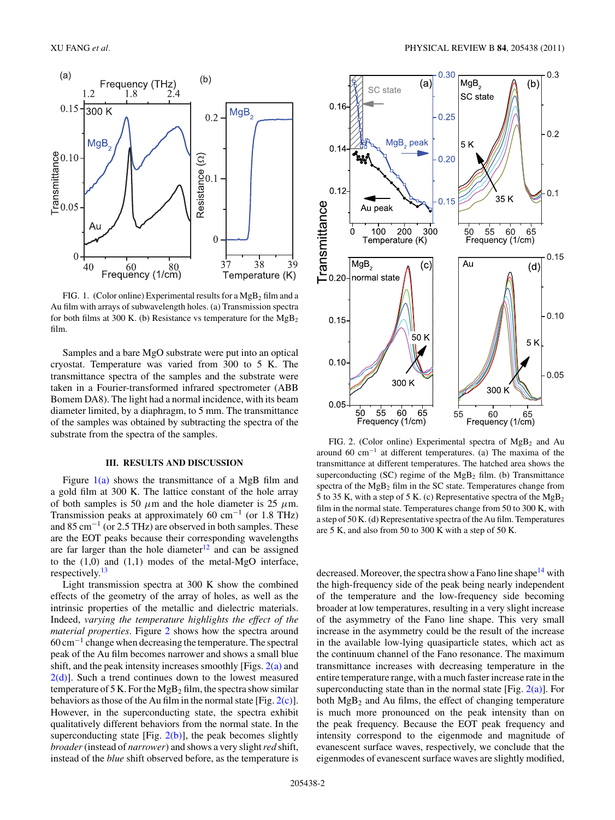<span id="page-1-0"></span>

FIG. 1. (Color online) Experimental results for a  $MgB<sub>2</sub>$  film and a Au film with arrays of subwavelength holes. (a) Transmission spectra for both films at 300 K. (b) Resistance vs temperature for the  $MgB_2$ film.

Samples and a bare MgO substrate were put into an optical cryostat. Temperature was varied from 300 to 5 K. The transmittance spectra of the samples and the substrate were taken in a Fourier-transformed infrared spectrometer (ABB Bomem DA8). The light had a normal incidence, with its beam diameter limited, by a diaphragm, to 5 mm. The transmittance of the samples was obtained by subtracting the spectra of the substrate from the spectra of the samples.

# **III. RESULTS AND DISCUSSION**

Figure  $1(a)$  shows the transmittance of a MgB film and a gold film at 300 K. The lattice constant of the hole array of both samples is 50  $\mu$ m and the hole diameter is 25  $\mu$ m. Transmission peaks at approximately 60 cm<sup>-1</sup> (or 1.8 THz) and 85 cm−<sup>1</sup> (or 2.5 THz) are observed in both samples. These are the EOT peaks because their corresponding wavelengths are far larger than the hole diameter $12$  and can be assigned to the (1,0) and (1,1) modes of the metal-MgO interface, respectively.[13](#page-5-0)

Light transmission spectra at 300 K show the combined effects of the geometry of the array of holes, as well as the intrinsic properties of the metallic and dielectric materials. Indeed, *varying the temperature highlights the effect of the material properties*. Figure 2 shows how the spectra around 60 cm−<sup>1</sup> change when decreasing the temperature. The spectral peak of the Au film becomes narrower and shows a small blue shift, and the peak intensity increases smoothly [Figs.  $2(a)$  and  $2(d)$ ]. Such a trend continues down to the lowest measured temperature of 5 K. For the  $MgB<sub>2</sub>$  film, the spectra show similar behaviors as those of the Au film in the normal state [Fig.  $2(c)$ ]. However, in the superconducting state, the spectra exhibit qualitatively different behaviors from the normal state. In the superconducting state [Fig.  $2(b)$ ], the peak becomes slightly *broader*(instead of *narrower*) and shows a very slight*red* shift, instead of the *blue* shift observed before, as the temperature is



FIG. 2. (Color online) Experimental spectra of  $MgB<sub>2</sub>$  and Au around 60 cm−<sup>1</sup> at different temperatures. (a) The maxima of the transmittance at different temperatures. The hatched area shows the superconducting  $(SC)$  regime of the  $MgB<sub>2</sub>$  film. (b) Transmittance spectra of the  $MgB<sub>2</sub>$  film in the SC state. Temperatures change from 5 to 35 K, with a step of 5 K. (c) Representative spectra of the  $MgB_2$ film in the normal state. Temperatures change from 50 to 300 K, with a step of 50 K. (d) Representative spectra of the Au film. Temperatures are 5 K, and also from 50 to 300 K with a step of 50 K.

decreased. Moreover, the spectra show a Fano line shape<sup>14</sup> with the high-frequency side of the peak being nearly independent of the temperature and the low-frequency side becoming broader at low temperatures, resulting in a very slight increase of the asymmetry of the Fano line shape. This very small increase in the asymmetry could be the result of the increase in the available low-lying quasiparticle states, which act as the continuum channel of the Fano resonance. The maximum transmittance increases with decreasing temperature in the entire temperature range, with a much faster increase rate in the superconducting state than in the normal state [Fig.  $2(a)$ ]. For both  $MgB_2$  and Au films, the effect of changing temperature is much more pronounced on the peak intensity than on the peak frequency. Because the EOT peak frequency and intensity correspond to the eigenmode and magnitude of evanescent surface waves, respectively, we conclude that the eigenmodes of evanescent surface waves are slightly modified,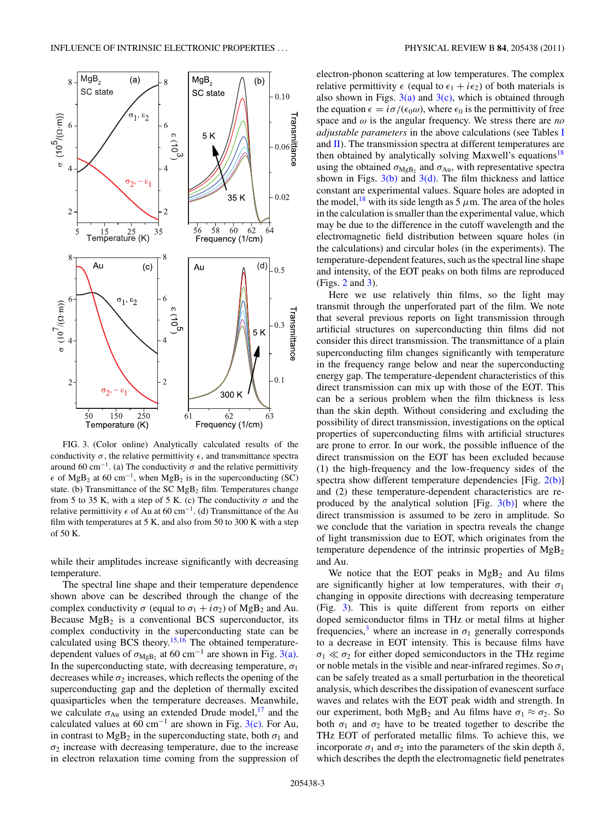<span id="page-2-0"></span>

FIG. 3. (Color online) Analytically calculated results of the conductivity  $\sigma$ , the relative permittivity  $\epsilon$ , and transmittance spectra around 60 cm<sup>-1</sup>. (a) The conductivity  $\sigma$  and the relative permittivity  $\epsilon$  of MgB<sub>2</sub> at 60 cm<sup>-1</sup>, when MgB<sub>2</sub> is in the superconducting (SC) state. (b) Transmittance of the SC  $MgB<sub>2</sub>$  film. Temperatures change from 5 to 35 K, with a step of 5 K. (c) The conductivity  $\sigma$  and the relative permittivity  $\epsilon$  of Au at 60 cm<sup>-1</sup>. (d) Transmittance of the Au film with temperatures at 5 K, and also from 50 to 300 K with a step of 50 K.

while their amplitudes increase significantly with decreasing temperature.

The spectral line shape and their temperature dependence shown above can be described through the change of the complex conductivity  $\sigma$  (equal to  $\sigma_1 + i\sigma_2$ ) of MgB<sub>2</sub> and Au. Because  $MgB_2$  is a conventional BCS superconductor, its complex conductivity in the superconducting state can be calculated using BCS theory.<sup>[15,16](#page-5-0)</sup> The obtained temperaturedependent values of  $\sigma_{MgB_2}$  at 60 cm<sup>-1</sup> are shown in Fig. 3(a). In the superconducting state, with decreasing temperature,  $\sigma_1$ decreases while  $\sigma_2$  increases, which reflects the opening of the superconducting gap and the depletion of thermally excited quasiparticles when the temperature decreases. Meanwhile, we calculate  $\sigma_{Au}$  using an extended Drude model,<sup>17</sup> and the calculated values at 60 cm<sup>-1</sup> are shown in Fig.  $3(c)$ . For Au, in contrast to MgB<sub>2</sub> in the superconducting state, both  $\sigma_1$  and  $\sigma_2$  increase with decreasing temperature, due to the increase in electron relaxation time coming from the suppression of electron-phonon scattering at low temperatures. The complex relative permittivity  $\epsilon$  (equal to  $\epsilon_1 + i\epsilon_2$ ) of both materials is also shown in Figs.  $3(a)$  and  $3(c)$ , which is obtained through the equation  $\epsilon = i\sigma/(\epsilon_0\omega)$ , where  $\epsilon_0$  is the permittivity of free space and *ω* is the angular frequency. We stress there are *no adjustable parameters* in the above calculations (see Tables [I](#page-4-0) and  $\overline{II}$ ). The transmission spectra at different temperatures are then obtained by analytically solving Maxwell's equations<sup>[18](#page-5-0)</sup> using the obtained  $\sigma_{\text{MgB}}$  and  $\sigma_{\text{Au}}$ , with representative spectra shown in Figs.  $3(b)$  and  $3(d)$ . The film thickness and lattice constant are experimental values. Square holes are adopted in the model,<sup>[18](#page-5-0)</sup> with its side length as  $5 \mu$ m. The area of the holes in the calculation is smaller than the experimental value, which may be due to the difference in the cutoff wavelength and the electromagnetic field distribution between square holes (in the calculations) and circular holes (in the experiments). The temperature-dependent features, such as the spectral line shape and intensity, of the EOT peaks on both films are reproduced (Figs. [2](#page-1-0) and 3).

Here we use relatively thin films, so the light may transmit through the unperforated part of the film. We note that several previous reports on light transmission through artificial structures on superconducting thin films did not consider this direct transmission. The transmittance of a plain superconducting film changes significantly with temperature in the frequency range below and near the superconducting energy gap. The temperature-dependent characteristics of this direct transmission can mix up with those of the EOT. This can be a serious problem when the film thickness is less than the skin depth. Without considering and excluding the possibility of direct transmission, investigations on the optical properties of superconducting films with artificial structures are prone to error. In our work, the possible influence of the direct transmission on the EOT has been excluded because (1) the high-frequency and the low-frequency sides of the spectra show different temperature dependencies [Fig.  $2(b)$ ] and (2) these temperature-dependent characteristics are reproduced by the analytical solution [Fig.  $3(b)$ ] where the direct transmission is assumed to be zero in amplitude. So we conclude that the variation in spectra reveals the change of light transmission due to EOT, which originates from the temperature dependence of the intrinsic properties of  $MgB<sub>2</sub>$ and Au.

We notice that the EOT peaks in  $MgB<sub>2</sub>$  and Au films are significantly higher at low temperatures, with their  $\sigma_1$ changing in opposite directions with decreasing temperature (Fig. 3). This is quite different from reports on either doped semiconductor films in THz or metal films at higher frequencies,<sup>3</sup> where an increase in  $\sigma_1$  generally corresponds to a decrease in EOT intensity. This is because films have  $\sigma_1 \ll \sigma_2$  for either doped semiconductors in the THz regime or noble metals in the visible and near-infrared regimes. So  $\sigma_1$ can be safely treated as a small perturbation in the theoretical analysis, which describes the dissipation of evanescent surface waves and relates with the EOT peak width and strength. In our experiment, both MgB<sub>2</sub> and Au films have  $\sigma_1 \approx \sigma_2$ . So both  $\sigma_1$  and  $\sigma_2$  have to be treated together to describe the THz EOT of perforated metallic films. To achieve this, we incorporate  $\sigma_1$  and  $\sigma_2$  into the parameters of the skin depth  $\delta$ , which describes the depth the electromagnetic field penetrates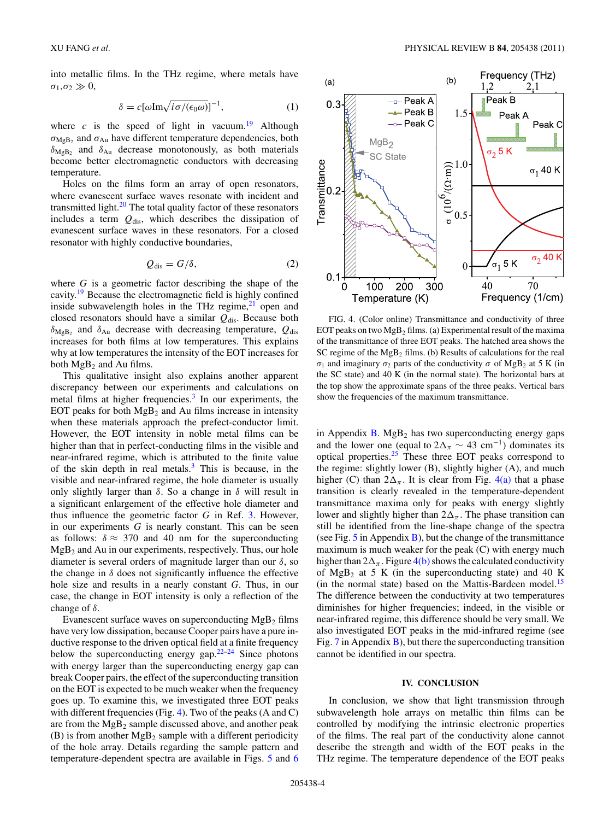<span id="page-3-0"></span>into metallic films. In the THz regime, where metals have  $\sigma_1, \sigma_2 \gg 0$ ,

$$
\delta = c[\omega \text{Im}\sqrt{i\sigma/(\epsilon_0 \omega)}]^{-1},\tag{1}
$$

where  $c$  is the speed of light in vacuum.<sup>19</sup> Although *σ*MgB2 and *σ*Au have different temperature dependencies, both *δ*MgB2 and *δ*Au decrease monotonously, as both materials become better electromagnetic conductors with decreasing temperature.

Holes on the films form an array of open resonators, where evanescent surface waves resonate with incident and transmitted light. $20$  The total quality factor of these resonators includes a term  $Q_{dis}$ , which describes the dissipation of evanescent surface waves in these resonators. For a closed resonator with highly conductive boundaries,

$$
Q_{\rm dis} = G/\delta, \tag{2}
$$

where *G* is a geometric factor describing the shape of the cavity.[19](#page-5-0) Because the electromagnetic field is highly confined inside subwavelength holes in the THz regime, $21$  open and closed resonators should have a similar  $Q_{\text{dis}}$ . Because both  $\delta_{\text{MgB}}$  and  $\delta_{\text{Au}}$  decrease with decreasing temperature,  $Q_{\text{dis}}$ increases for both films at low temperatures. This explains why at low temperatures the intensity of the EOT increases for both  $MgB_2$  and Au films.

This qualitative insight also explains another apparent discrepancy between our experiments and calculations on metal films at higher frequencies.<sup>[3](#page-5-0)</sup> In our experiments, the EOT peaks for both  $MgB_2$  and Au films increase in intensity when these materials approach the prefect-conductor limit. However, the EOT intensity in noble metal films can be higher than that in perfect-conducting films in the visible and near-infrared regime, which is attributed to the finite value of the skin depth in real metals.[3](#page-5-0) This is because, in the visible and near-infrared regime, the hole diameter is usually only slightly larger than *δ*. So a change in *δ* will result in a significant enlargement of the effective hole diameter and thus influence the geometric factor *G* in Ref. [3.](#page-5-0) However, in our experiments *G* is nearly constant. This can be seen as follows:  $\delta \approx 370$  and 40 nm for the superconducting  $MgB<sub>2</sub>$  and Au in our experiments, respectively. Thus, our hole diameter is several orders of magnitude larger than our *δ*, so the change in  $\delta$  does not significantly influence the effective hole size and results in a nearly constant *G*. Thus, in our case, the change in EOT intensity is only a reflection of the change of *δ*.

Evanescent surface waves on superconducting  $MgB<sub>2</sub>$  films have very low dissipation, because Cooper pairs have a pure inductive response to the driven optical field at a finite frequency below the superconducting energy gap. $22-24$  Since photons with energy larger than the superconducting energy gap can break Cooper pairs, the effect of the superconducting transition on the EOT is expected to be much weaker when the frequency goes up. To examine this, we investigated three EOT peaks with different frequencies (Fig. 4). Two of the peaks (A and C) are from the  $MgB_2$  sample discussed above, and another peak (B) is from another  $MgB_2$  sample with a different periodicity of the hole array. Details regarding the sample pattern and temperature-dependent spectra are available in Figs. [5](#page-4-0) and [6](#page-4-0)



FIG. 4. (Color online) Transmittance and conductivity of three EOT peaks on two  $MgB_2$  films. (a) Experimental result of the maxima of the transmittance of three EOT peaks. The hatched area shows the SC regime of the  $MgB_2$  films. (b) Results of calculations for the real *σ*<sub>1</sub> and imaginary *σ*<sub>2</sub> parts of the conductivity *σ* of MgB<sub>2</sub> at 5 K (in the SC state) and 40 K (in the normal state). The horizontal bars at the top show the approximate spans of the three peaks. Vertical bars show the frequencies of the maximum transmittance.

in Appendix  $B$ . Mg $B_2$  has two superconducting energy gaps and the lower one (equal to  $2\Delta_{\pi} \sim 43$  cm<sup>-1</sup>) dominates its optical properties[.25](#page-5-0) These three EOT peaks correspond to the regime: slightly lower (B), slightly higher (A), and much higher (C) than  $2\Delta_{\pi}$ . It is clear from Fig. 4(a) that a phase transition is clearly revealed in the temperature-dependent transmittance maxima only for peaks with energy slightly lower and slightly higher than  $2\Delta_{\pi}$ . The phase transition can still be identified from the line-shape change of the spectra (see Fig.  $5$  in Appendix [B\)](#page-4-0), but the change of the transmittance maximum is much weaker for the peak (C) with energy much higher than  $2\Delta_{\pi}$ . Figure 4(b) shows the calculated conductivity of  $MgB_2$  at 5 K (in the superconducting state) and 40 K (in the normal state) based on the Mattis-Bardeen model.<sup>[15](#page-5-0)</sup> The difference between the conductivity at two temperatures diminishes for higher frequencies; indeed, in the visible or near-infrared regime, this difference should be very small. We also investigated EOT peaks in the mid-infrared regime (see Fig.  $7$  in Appendix  $\overline{B}$ ), but there the superconducting transition cannot be identified in our spectra.

## **IV. CONCLUSION**

In conclusion, we show that light transmission through subwavelength hole arrays on metallic thin films can be controlled by modifying the intrinsic electronic properties of the films. The real part of the conductivity alone cannot describe the strength and width of the EOT peaks in the THz regime. The temperature dependence of the EOT peaks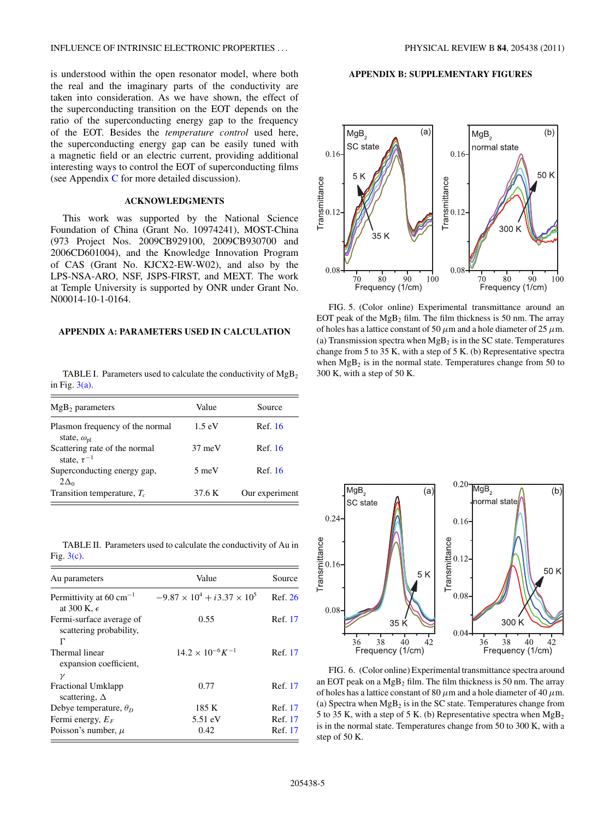<span id="page-4-0"></span>is understood within the open resonator model, where both the real and the imaginary parts of the conductivity are taken into consideration. As we have shown, the effect of the superconducting transition on the EOT depends on the ratio of the superconducting energy gap to the frequency of the EOT. Besides the *temperature control* used here, the superconducting energy gap can be easily tuned with a magnetic field or an electric current, providing additional interesting ways to control the EOT of superconducting films (see Appendix [C](#page-5-0) for more detailed discussion).

#### **ACKNOWLEDGMENTS**

This work was supported by the National Science Foundation of China (Grant No. 10974241), MOST-China (973 Project Nos. 2009CB929100, 2009CB930700 and 2006CD601004), and the Knowledge Innovation Program of CAS (Grant No. KJCX2-EW-W02), and also by the LPS-NSA-ARO, NSF, JSPS-FIRST, and MEXT. The work at Temple University is supported by ONR under Grant No. N00014-10-1-0164.

### **APPENDIX A: PARAMETERS USED IN CALCULATION**

TABLE I. Parameters used to calculate the conductivity of  $MgB<sub>2</sub>$ in Fig.  $3(a)$ .

| $MgB2$ parameters                                              | Value            | Source         |
|----------------------------------------------------------------|------------------|----------------|
| Plasmon frequency of the normal<br>state, $\omega_{\text{pl}}$ | $1.5 \text{ eV}$ | Ref. 16        |
| Scattering rate of the normal<br>state, $\tau^{-1}$            | $37 \text{ meV}$ | Ref. 16        |
| Superconducting energy gap,<br>$2\Delta_0$                     | $5 \text{ meV}$  | Ref. 16        |
| Transition temperature, $T_c$                                  | 37.6 K           | Our experiment |

TABLE II. Parameters used to calculate the conductivity of Au in Fig. [3\(c\).](#page-2-0)

| Au parameters                                                            | Value                                   | Source  |
|--------------------------------------------------------------------------|-----------------------------------------|---------|
| Permittivity at 60 cm <sup><math>-1</math></sup><br>at 300 K, $\epsilon$ | $-9.87 \times 10^4 + i3.37 \times 10^5$ | Ref. 26 |
| Fermi-surface average of<br>scattering probability,<br>г                 | 0.55                                    | Ref. 17 |
| Thermal linear<br>expansion coefficient,<br>$\mathcal V$                 | $14.2 \times 10^{-6} K^{-1}$            | Ref. 17 |
| <b>Fractional Umklapp</b><br>scattering, $\Delta$                        | 0.77                                    | Ref. 17 |
| Debye temperature, $\theta_D$                                            | 185 K                                   | Ref. 17 |
| Fermi energy, $E_F$                                                      | 5.51 eV                                 | Ref. 17 |
| Poisson's number, $\mu$                                                  | 0.42                                    | Ref. 17 |

### **APPENDIX B: SUPPLEMENTARY FIGURES**



FIG. 5. (Color online) Experimental transmittance around an EOT peak of the  $MgB_2$  film. The film thickness is 50 nm. The array of holes has a lattice constant of 50  $\mu$ m and a hole diameter of 25  $\mu$ m. (a) Transmission spectra when  $MgB<sub>2</sub>$  is in the SC state. Temperatures change from 5 to 35 K, with a step of 5 K. (b) Representative spectra when  $MgB_2$  is in the normal state. Temperatures change from 50 to 300 K, with a step of 50 K.



FIG. 6. (Color online) Experimental transmittance spectra around an EOT peak on a  $MgB_2$  film. The film thickness is 50 nm. The array of holes has a lattice constant of 80 *μ*m and a hole diameter of 40 *μ*m. (a) Spectra when  $MgB_2$  is in the SC state. Temperatures change from 5 to 35 K, with a step of 5 K. (b) Representative spectra when  $MgB_2$ is in the normal state. Temperatures change from 50 to 300 K, with a step of 50 K.